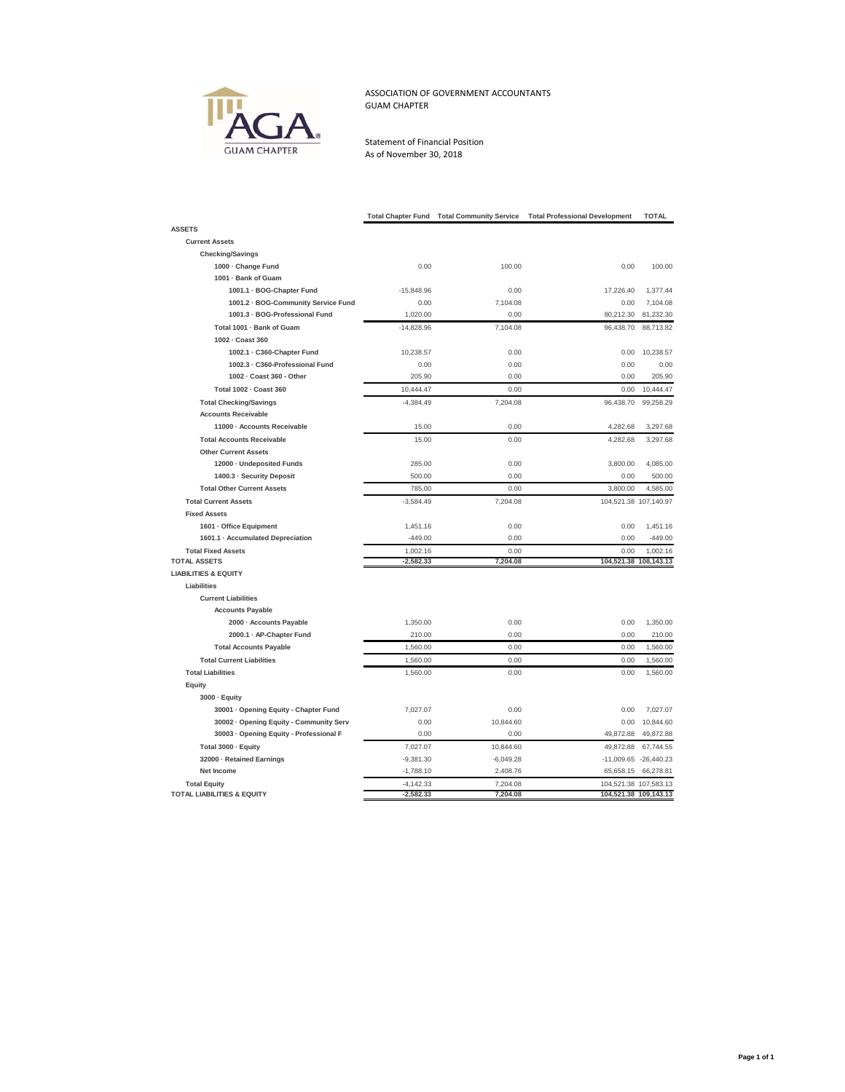

## ASSOCIATION OF GOVERNMENT ACCOUNTANTS GUAM CHAPTER

Statement of Financial Position As of November 30, 2018

| <b>ASSETS</b>                                                                                                      |                       |                       |
|--------------------------------------------------------------------------------------------------------------------|-----------------------|-----------------------|
| <b>Current Assets</b>                                                                                              |                       |                       |
| <b>Checking/Savings</b>                                                                                            |                       |                       |
| 1000 - Change Fund<br>0.00<br>100.00                                                                               | 0.00                  | 100.00                |
| 1001 - Bank of Guam                                                                                                |                       |                       |
| 1001.1 · BOG-Chapter Fund<br>$-15,848.96$<br>0.00                                                                  | 17,226.40             | 1,377.44              |
| 1001.2 · BOG-Community Service Fund<br>0.00<br>7,104.08                                                            | 0.00                  | 7,104.08              |
| 1001.3 - BOG-Professional Fund<br>1.020.00<br>0.00                                                                 | 80,212.30             | 81,232.30             |
| Total 1001 - Bank of Guam<br>$-14,828.96$<br>7,104.08                                                              | 96,438.70             | 88,713.82             |
| 1002 - Coast 360                                                                                                   |                       |                       |
| 1002.1 · C360-Chapter Fund<br>10,238.57<br>0.00                                                                    | 0.00                  | 10,238.57             |
| 1002.3 - C360-Professional Fund<br>0.00<br>0.00                                                                    | 0.00                  | 0.00                  |
| 1002 - Coast 360 - Other<br>205.90<br>0.00                                                                         | 0.00                  | 205.90                |
| Total 1002 - Coast 360<br>10,444.47<br>0.00                                                                        | 0.00                  | 10,444.47             |
| <b>Total Checking/Savings</b><br>$-4,384.49$<br>7,204.08                                                           | 96,438.70             | 99,258.29             |
| <b>Accounts Receivable</b>                                                                                         |                       |                       |
| 11000 - Accounts Receivable<br>15.00<br>0.00                                                                       | 4,282.68              | 3,297.68              |
| <b>Total Accounts Receivable</b><br>15.00<br>0.00                                                                  | 4,282.68              | 3,297.68              |
| <b>Other Current Assets</b>                                                                                        |                       |                       |
| 12000 - Undeposited Funds<br>285.00<br>0.00                                                                        | 3,800.00              | 4,085.00              |
| 1400.3 · Security Deposit<br>500.00<br>0.00                                                                        | 0.00                  | 500.00                |
| <b>Total Other Current Assets</b><br>785.00<br>0.00                                                                | 3,800.00              | 4,585.00              |
| <b>Total Current Assets</b><br>$-3,584.49$<br>7,204.08                                                             |                       | 104,521.38 107,140.97 |
| <b>Fixed Assets</b>                                                                                                |                       |                       |
| 1601 · Office Equipment<br>1,451.16<br>0.00                                                                        | 0.00                  | 1.451.16              |
| 1601.1 · Accumulated Depreciation<br>$-449.00$<br>0.00                                                             | 0.00                  | $-449.00$             |
| <b>Total Fixed Assets</b><br>1,002.16<br>0.00                                                                      | 0.00                  | 1,002.16              |
| <b>TOTAL ASSETS</b><br>$-2,582.33$<br>7,204.08                                                                     |                       | 104,521.38 108,143.13 |
| <b>LIABILITIES &amp; EQUITY</b>                                                                                    |                       |                       |
| Liabilities                                                                                                        |                       |                       |
| <b>Current Liabilities</b>                                                                                         |                       |                       |
| <b>Accounts Payable</b>                                                                                            |                       |                       |
| 2000 - Accounts Payable<br>1,350.00<br>0.00                                                                        | 0.00                  | 1,350.00              |
| 2000.1 · AP-Chapter Fund<br>210.00<br>0.00                                                                         | 0.00                  | 210.00                |
| <b>Total Accounts Payable</b><br>1,560.00<br>0.00                                                                  | 0.00                  | 1,560.00              |
| <b>Total Current Liabilities</b><br>1,560.00<br>0.00                                                               | 0.00                  | 1,560.00              |
| <b>Total Liabilities</b><br>1,560.00<br>0.00                                                                       | 0.00                  | 1,560.00              |
| Equity                                                                                                             |                       |                       |
| 3000 · Equity                                                                                                      |                       |                       |
| 0.00                                                                                                               | 0.00                  |                       |
| 30001 · Opening Equity - Chapter Fund<br>7,027.07<br>30002 · Opening Equity - Community Serv<br>0.00<br>10,844.60  | 0.00                  | 7,027.07<br>10,844.60 |
| 30003 · Opening Equity - Professional F<br>0.00<br>0.00                                                            | 49,872.88             | 49,872.88             |
|                                                                                                                    |                       |                       |
| Total 3000 - Equity<br>7,027.07<br>10,844.60                                                                       | 49,872.88             | 67,744.55             |
| 32000 - Retained Earnings<br>$-9,381.30$<br>$-6,049.28$<br>$-1,788.10$                                             |                       | -11,009.65 -26,440.23 |
| Net Income<br>2,408.76                                                                                             | 65,658.15             | 66,278.81             |
| <b>Total Equity</b><br>$-4,142.33$<br>7,204.08<br><b>TOTAL LIABILITIES &amp; EQUITY</b><br>$-2,582.33$<br>7,204.08 | 104,521.38 109,143.13 | 104,521.38 107,583.13 |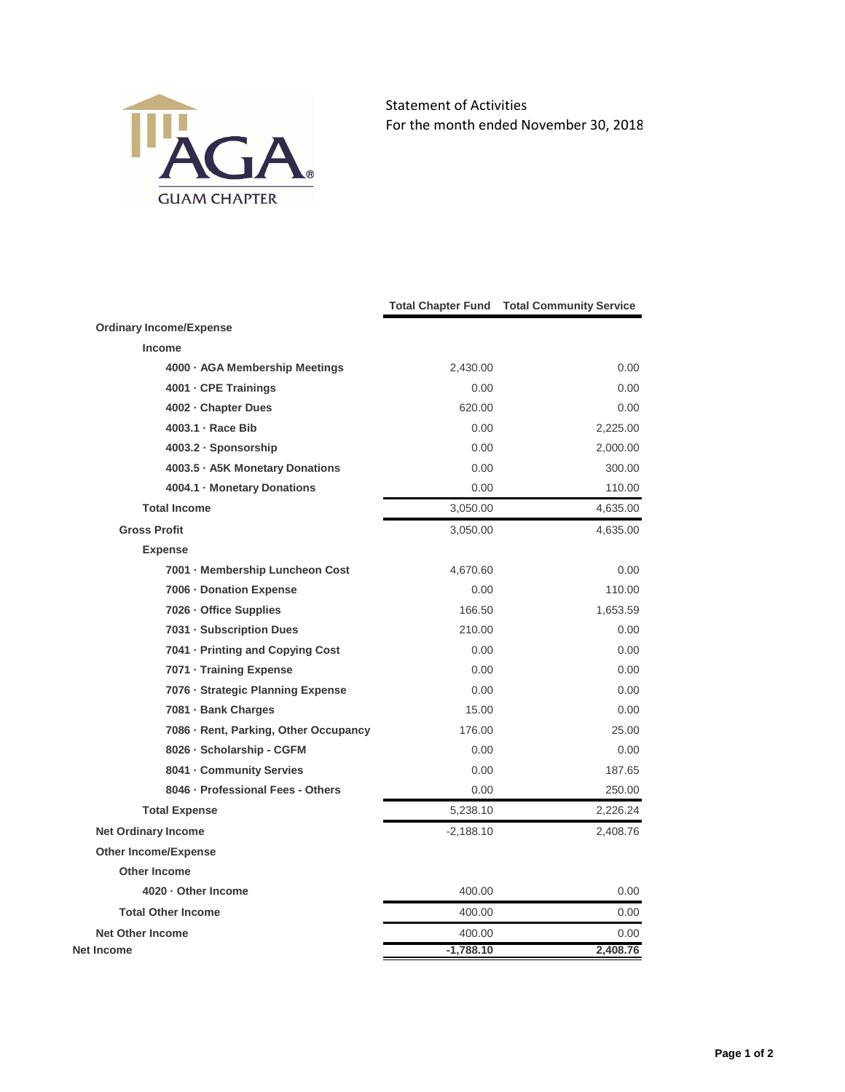

Statement of Activities For the month ended November 30, 2018

|                                       |             | <b>Total Chapter Fund Total Community Service</b> |
|---------------------------------------|-------------|---------------------------------------------------|
| <b>Ordinary Income/Expense</b>        |             |                                                   |
| Income                                |             |                                                   |
| 4000 - AGA Membership Meetings        | 2,430.00    | 0.00                                              |
| 4001 - CPE Trainings                  | 0.00        | 0.00                                              |
| 4002 - Chapter Dues                   | 620.00      | 0.00                                              |
| 4003.1 · Race Bib                     | 0.00        | 2,225.00                                          |
| 4003.2 · Sponsorship                  | 0.00        | 2,000.00                                          |
| 4003.5 · A5K Monetary Donations       | 0.00        | 300.00                                            |
| 4004.1 Monetary Donations             | 0.00        | 110.00                                            |
| <b>Total Income</b>                   | 3,050.00    | 4,635.00                                          |
| <b>Gross Profit</b>                   | 3,050.00    | 4,635.00                                          |
| <b>Expense</b>                        |             |                                                   |
| 7001 - Membership Luncheon Cost       | 4,670.60    | 0.00                                              |
| 7006 - Donation Expense               | 0.00        | 110.00                                            |
| 7026 - Office Supplies                | 166.50      | 1,653.59                                          |
| 7031 - Subscription Dues              | 210.00      | 0.00                                              |
| 7041 - Printing and Copying Cost      | 0.00        | 0.00                                              |
| 7071 - Training Expense               | 0.00        | 0.00                                              |
| 7076 · Strategic Planning Expense     | 0.00        | 0.00                                              |
| 7081 - Bank Charges                   | 15.00       | 0.00                                              |
| 7086 · Rent, Parking, Other Occupancy | 176.00      | 25.00                                             |
| 8026 · Scholarship - CGFM             | 0.00        | 0.00                                              |
| 8041 - Community Servies              | 0.00        | 187.65                                            |
| 8046 · Professional Fees - Others     | 0.00        | 250.00                                            |
| <b>Total Expense</b>                  | 5.238.10    | 2,226.24                                          |
| <b>Net Ordinary Income</b>            | $-2,188.10$ | 2,408.76                                          |
| Other Income/Expense                  |             |                                                   |
| <b>Other Income</b>                   |             |                                                   |
| 4020 · Other Income                   | 400.00      | 0.00                                              |
| <b>Total Other Income</b>             | 400.00      | 0.00                                              |
| <b>Net Other Income</b>               | 400.00      | 0.00                                              |
| <b>Net Income</b>                     | $-1,788.10$ | 2.408.76                                          |